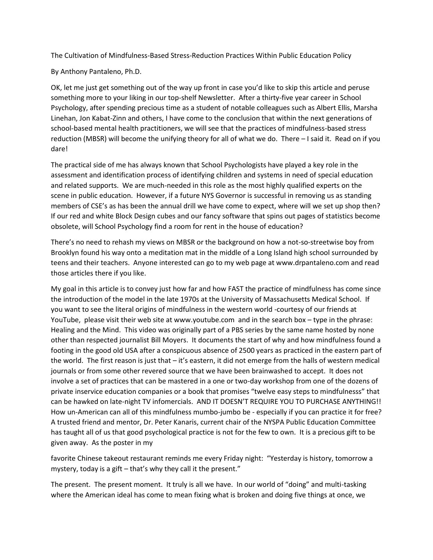The Cultivation of Mindfulness-Based Stress-Reduction Practices Within Public Education Policy

By Anthony Pantaleno, Ph.D.

OK, let me just get something out of the way up front in case you'd like to skip this article and peruse something more to your liking in our top-shelf Newsletter. After a thirty-five year career in School Psychology, after spending precious time as a student of notable colleagues such as Albert Ellis, Marsha Linehan, Jon Kabat-Zinn and others, I have come to the conclusion that within the next generations of school-based mental health practitioners, we will see that the practices of mindfulness-based stress reduction (MBSR) will become the unifying theory for all of what we do. There – I said it. Read on if you dare!

The practical side of me has always known that School Psychologists have played a key role in the assessment and identification process of identifying children and systems in need of special education and related supports. We are much-needed in this role as the most highly qualified experts on the scene in public education. However, if a future NYS Governor is successful in removing us as standing members of CSE's as has been the annual drill we have come to expect, where will we set up shop then? If our red and white Block Design cubes and our fancy software that spins out pages of statistics become obsolete, will School Psychology find a room for rent in the house of education?

There's no need to rehash my views on MBSR or the background on how a not-so-streetwise boy from Brooklyn found his way onto a meditation mat in the middle of a Long Island high school surrounded by teens and their teachers. Anyone interested can go to my web page at www.drpantaleno.com and read those articles there if you like.

My goal in this article is to convey just how far and how FAST the practice of mindfulness has come since the introduction of the model in the late 1970s at the University of Massachusetts Medical School. If you want to see the literal origins of mindfulness in the western world -courtesy of our friends at YouTube, please visit their web site at www.youtube.com and in the search box – type in the phrase: Healing and the Mind. This video was originally part of a PBS series by the same name hosted by none other than respected journalist Bill Moyers. It documents the start of why and how mindfulness found a footing in the good old USA after a conspicuous absence of 2500 years as practiced in the eastern part of the world. The first reason is just that – it's eastern, it did not emerge from the halls of western medical journals or from some other revered source that we have been brainwashed to accept. It does not involve a set of practices that can be mastered in a one or two-day workshop from one of the dozens of private inservice education companies or a book that promises "twelve easy steps to mindfulnesss" that can be hawked on late-night TV infomercials. AND IT DOESN'T REQUIRE YOU TO PURCHASE ANYTHING!! How un-American can all of this mindfulness mumbo-jumbo be - especially if you can practice it for free? A trusted friend and mentor, Dr. Peter Kanaris, current chair of the NYSPA Public Education Committee has taught all of us that good psychological practice is not for the few to own. It is a precious gift to be given away. As the poster in my

favorite Chinese takeout restaurant reminds me every Friday night: "Yesterday is history, tomorrow a mystery, today is a gift – that's why they call it the present."

The present. The present moment. It truly is all we have. In our world of "doing" and multi-tasking where the American ideal has come to mean fixing what is broken and doing five things at once, we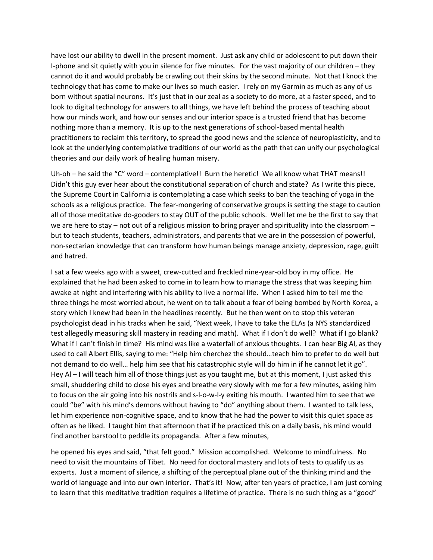have lost our ability to dwell in the present moment. Just ask any child or adolescent to put down their I-phone and sit quietly with you in silence for five minutes. For the vast majority of our children – they cannot do it and would probably be crawling out their skins by the second minute. Not that I knock the technology that has come to make our lives so much easier. I rely on my Garmin as much as any of us born without spatial neurons. It's just that in our zeal as a society to do more, at a faster speed, and to look to digital technology for answers to all things, we have left behind the process of teaching about how our minds work, and how our senses and our interior space is a trusted friend that has become nothing more than a memory. It is up to the next generations of school-based mental health practitioners to reclaim this territory, to spread the good news and the science of neuroplasticity, and to look at the underlying contemplative traditions of our world as the path that can unify our psychological theories and our daily work of healing human misery.

Uh-oh – he said the "C" word – contemplative!! Burn the heretic! We all know what THAT means!! Didn't this guy ever hear about the constitutional separation of church and state? As I write this piece, the Supreme Court in California is contemplating a case which seeks to ban the teaching of yoga in the schools as a religious practice. The fear-mongering of conservative groups is setting the stage to caution all of those meditative do-gooders to stay OUT of the public schools. Well let me be the first to say that we are here to stay – not out of a religious mission to bring prayer and spirituality into the classroom – but to teach students, teachers, administrators, and parents that we are in the possession of powerful, non-sectarian knowledge that can transform how human beings manage anxiety, depression, rage, guilt and hatred.

I sat a few weeks ago with a sweet, crew-cutted and freckled nine-year-old boy in my office. He explained that he had been asked to come in to learn how to manage the stress that was keeping him awake at night and interfering with his ability to live a normal life. When I asked him to tell me the three things he most worried about, he went on to talk about a fear of being bombed by North Korea, a story which I knew had been in the headlines recently. But he then went on to stop this veteran psychologist dead in his tracks when he said, "Next week, I have to take the ELAs (a NYS standardized test allegedly measuring skill mastery in reading and math). What if I don't do well? What if I go blank? What if I can't finish in time? His mind was like a waterfall of anxious thoughts. I can hear Big Al, as they used to call Albert Ellis, saying to me: "Help him cherchez the should…teach him to prefer to do well but not demand to do well… help him see that his catastrophic style will do him in if he cannot let it go". Hey Al – I will teach him all of those things just as you taught me, but at this moment, I just asked this small, shuddering child to close his eyes and breathe very slowly with me for a few minutes, asking him to focus on the air going into his nostrils and s-l-o-w-l-y exiting his mouth. I wanted him to see that we could "be" with his mind's demons without having to "do" anything about them. I wanted to talk less, let him experience non-cognitive space, and to know that he had the power to visit this quiet space as often as he liked. I taught him that afternoon that if he practiced this on a daily basis, his mind would find another barstool to peddle its propaganda. After a few minutes,

he opened his eyes and said, "that felt good." Mission accomplished. Welcome to mindfulness. No need to visit the mountains of Tibet. No need for doctoral mastery and lots of tests to qualify us as experts. Just a moment of silence, a shifting of the perceptual plane out of the thinking mind and the world of language and into our own interior. That's it! Now, after ten years of practice, I am just coming to learn that this meditative tradition requires a lifetime of practice. There is no such thing as a "good"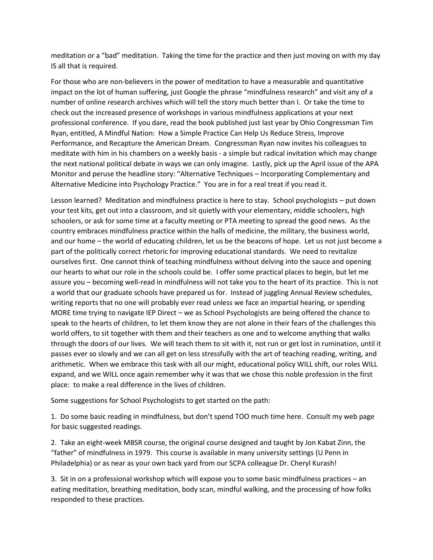meditation or a "bad" meditation. Taking the time for the practice and then just moving on with my day IS all that is required.

For those who are non-believers in the power of meditation to have a measurable and quantitative impact on the lot of human suffering, just Google the phrase "mindfulness research" and visit any of a number of online research archives which will tell the story much better than I. Or take the time to check out the increased presence of workshops in various mindfulness applications at your next professional conference. If you dare, read the book published just last year by Ohio Congressman Tim Ryan, entitled, A Mindful Nation: How a Simple Practice Can Help Us Reduce Stress, Improve Performance, and Recapture the American Dream. Congressman Ryan now invites his colleagues to meditate with him in his chambers on a weekly basis - a simple but radical invitation which may change the next national political debate in ways we can only imagine. Lastly, pick up the April issue of the APA Monitor and peruse the headline story: "Alternative Techniques – Incorporating Complementary and Alternative Medicine into Psychology Practice." You are in for a real treat if you read it.

Lesson learned? Meditation and mindfulness practice is here to stay. School psychologists – put down your test kits, get out into a classroom, and sit quietly with your elementary, middle schoolers, high schoolers, or ask for some time at a faculty meeting or PTA meeting to spread the good news. As the country embraces mindfulness practice within the halls of medicine, the military, the business world, and our home – the world of educating children, let us be the beacons of hope. Let us not just become a part of the politically correct rhetoric for improving educational standards. We need to revitalize ourselves first. One cannot think of teaching mindfulness without delving into the sauce and opening our hearts to what our role in the schools could be. I offer some practical places to begin, but let me assure you – becoming well-read in mindfulness will not take you to the heart of its practice. This is not a world that our graduate schools have prepared us for. Instead of juggling Annual Review schedules, writing reports that no one will probably ever read unless we face an impartial hearing, or spending MORE time trying to navigate IEP Direct – we as School Psychologists are being offered the chance to speak to the hearts of children, to let them know they are not alone in their fears of the challenges this world offers, to sit together with them and their teachers as one and to welcome anything that walks through the doors of our lives. We will teach them to sit with it, not run or get lost in rumination, until it passes ever so slowly and we can all get on less stressfully with the art of teaching reading, writing, and arithmetic. When we embrace this task with all our might, educational policy WILL shift, our roles WILL expand, and we WILL once again remember why it was that we chose this noble profession in the first place: to make a real difference in the lives of children.

Some suggestions for School Psychologists to get started on the path:

1. Do some basic reading in mindfulness, but don't spend TOO much time here. Consult my web page for basic suggested readings.

2. Take an eight-week MBSR course, the original course designed and taught by Jon Kabat Zinn, the "father" of mindfulness in 1979. This course is available in many university settings (U Penn in Philadelphia) or as near as your own back yard from our SCPA colleague Dr. Cheryl Kurash!

3. Sit in on a professional workshop which will expose you to some basic mindfulness practices – an eating meditation, breathing meditation, body scan, mindful walking, and the processing of how folks responded to these practices.